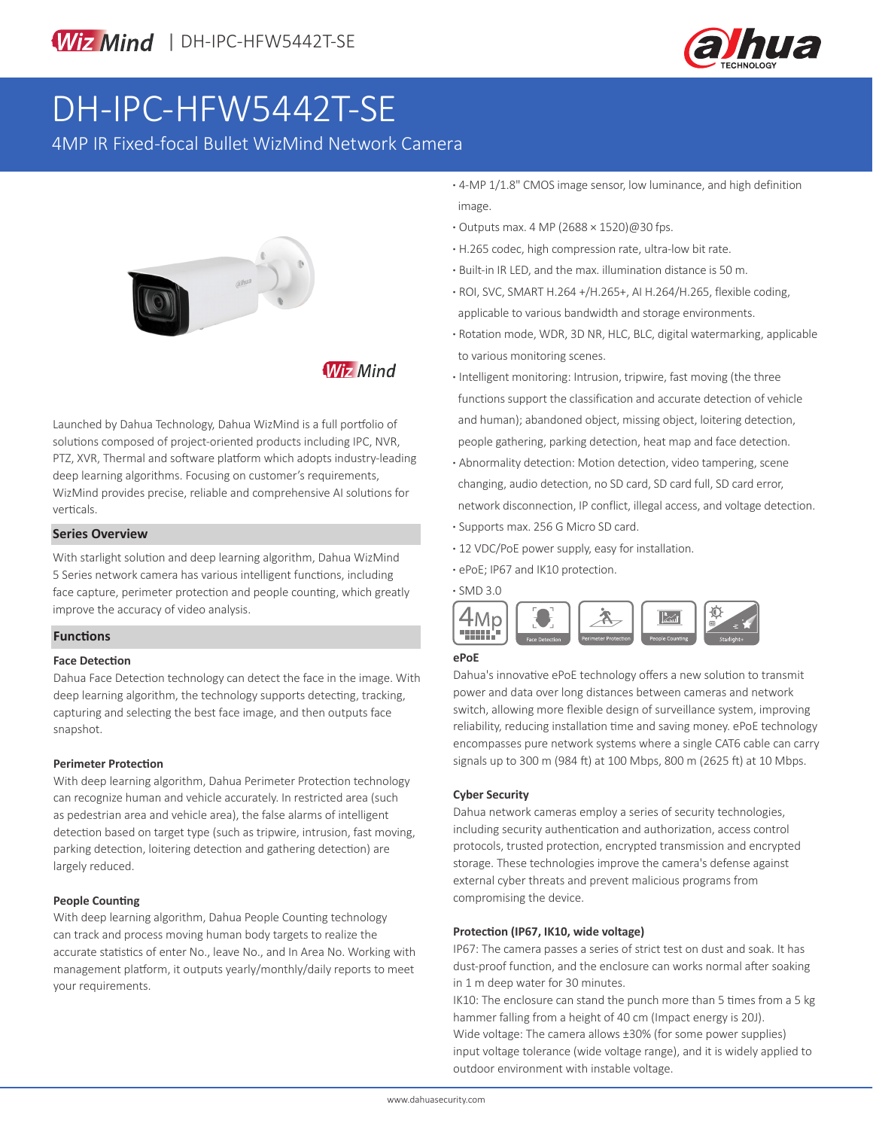

# DH-IPC-HFW5442T-SE

4MP IR Fixed-focal Bullet WizMind Network Camera



**Wiz Mind** 

Launched by Dahua Technology, Dahua WizMind is a full portfolio of solutions composed of project-oriented products including IPC, NVR, PTZ, XVR, Thermal and software platform which adopts industry-leading deep learning algorithms. Focusing on customer's requirements, WizMind provides precise, reliable and comprehensive AI solutions for verticals.

#### **Series Overview**

With starlight solution and deep learning algorithm, Dahua WizMind 5 Series network camera has various intelligent functions, including face capture, perimeter protection and people counting, which greatly improve the accuracy of video analysis.

#### **Functions**

#### **Face Detection**

Dahua Face Detection technology can detect the face in the image. With deep learning algorithm, the technology supports detecting, tracking, capturing and selecting the best face image, and then outputs face snapshot.

#### **Perimeter Protection**

With deep learning algorithm, Dahua Perimeter Protection technology can recognize human and vehicle accurately. In restricted area (such as pedestrian area and vehicle area), the false alarms of intelligent detection based on target type (such as tripwire, intrusion, fast moving, parking detection, loitering detection and gathering detection) are largely reduced.

#### **People Counting**

With deep learning algorithm, Dahua People Counting technology can track and process moving human body targets to realize the accurate statistics of enter No., leave No., and In Area No. Working with management platform, it outputs yearly/monthly/daily reports to meet your requirements.

- **·** 4-MP 1/1.8" CMOS image sensor, low luminance, and high definition image.
- **·** Outputs max. 4 MP (2688 × 1520)@30 fps.
- **·** H.265 codec, high compression rate, ultra-low bit rate.
- **·** Built-in IR LED, and the max. illumination distance is 50 m.
- **·** ROI, SVC, SMART H.264 +/H.265+, AI H.264/H.265, flexible coding, applicable to various bandwidth and storage environments.
- **·** Rotation mode, WDR, 3D NR, HLC, BLC, digital watermarking, applicable to various monitoring scenes.
- **·** Intelligent monitoring: Intrusion, tripwire, fast moving (the three functions support the classification and accurate detection of vehicle and human); abandoned object, missing object, loitering detection, people gathering, parking detection, heat map and face detection.
- **·** Abnormality detection: Motion detection, video tampering, scene changing, audio detection, no SD card, SD card full, SD card error, network disconnection, IP conflict, illegal access, and voltage detection.
- **·** Supports max. 256 G Micro SD card.
- **·** 12 VDC/PoE power supply, easy for installation.
- **·** ePoE; IP67 and IK10 protection.

**·** SMD 3.0



#### **ePoE**

Dahua's innovative ePoE technology offers a new solution to transmit power and data over long distances between cameras and network switch, allowing more flexible design of surveillance system, improving reliability, reducing installation time and saving money. ePoE technology encompasses pure network systems where a single CAT6 cable can carry signals up to 300 m (984 ft) at 100 Mbps, 800 m (2625 ft) at 10 Mbps.

#### **Cyber Security**

Dahua network cameras employ a series of security technologies, including security authentication and authorization, access control protocols, trusted protection, encrypted transmission and encrypted storage. These technologies improve the camera's defense against external cyber threats and prevent malicious programs from compromising the device.

#### **Protection (IP67, IK10, wide voltage)**

IP67: The camera passes a series of strict test on dust and soak. It has dust-proof function, and the enclosure can works normal after soaking in 1 m deep water for 30 minutes.

IK10: The enclosure can stand the punch more than 5 times from a 5 kg hammer falling from a height of 40 cm (Impact energy is 20J). Wide voltage: The camera allows ±30% (for some power supplies) input voltage tolerance (wide voltage range), and it is widely applied to outdoor environment with instable voltage.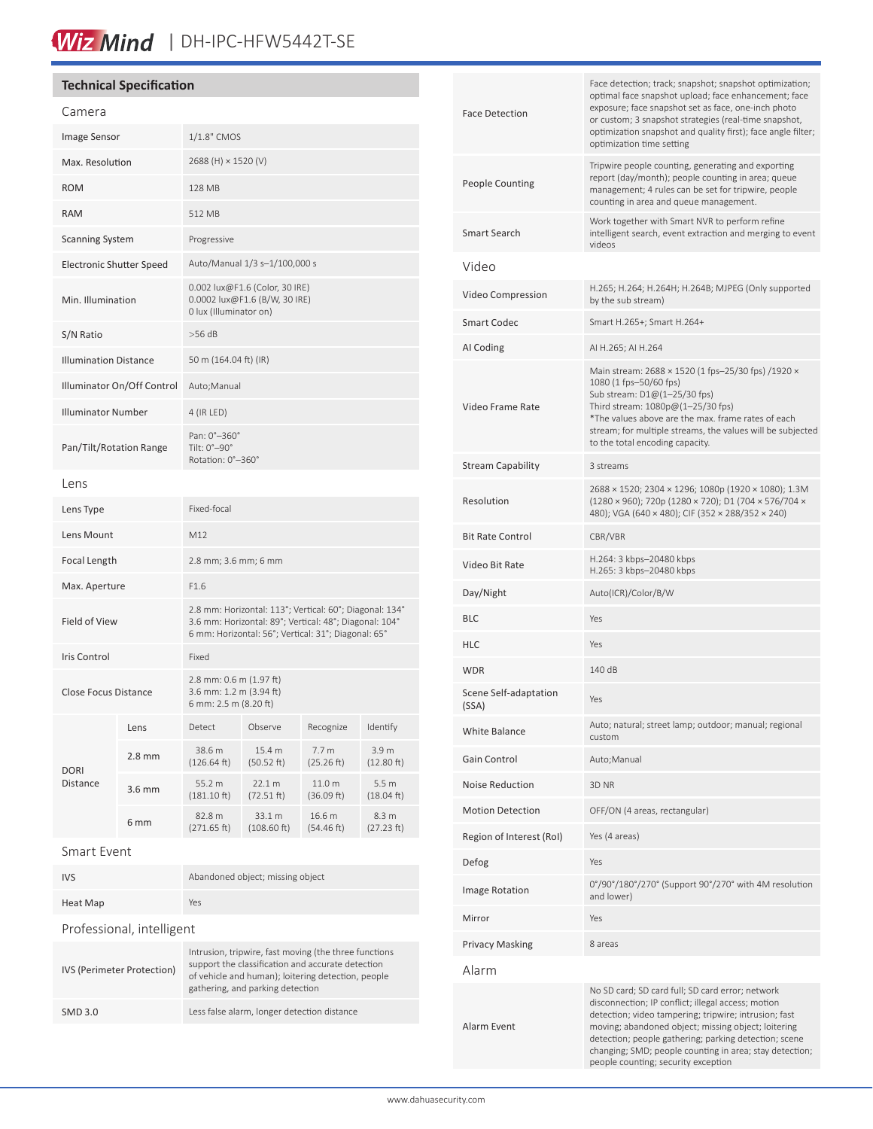## Wiz Mind | DH-IPC-HFW5442T-SE

### **Technical Specification**

| Camera                       |                  |                                                                                                                                                                          |                          |                                |                                |
|------------------------------|------------------|--------------------------------------------------------------------------------------------------------------------------------------------------------------------------|--------------------------|--------------------------------|--------------------------------|
| Image Sensor                 |                  | 1/1.8" CMOS                                                                                                                                                              |                          |                                |                                |
| Max. Resolution              |                  | 2688 (H) × 1520 (V)                                                                                                                                                      |                          |                                |                                |
| <b>ROM</b>                   |                  | 128 MB                                                                                                                                                                   |                          |                                |                                |
| <b>RAM</b>                   |                  | 512 MB                                                                                                                                                                   |                          |                                |                                |
| <b>Scanning System</b>       |                  | Progressive                                                                                                                                                              |                          |                                |                                |
| Electronic Shutter Speed     |                  | Auto/Manual 1/3 s-1/100,000 s                                                                                                                                            |                          |                                |                                |
| Min. Illumination            |                  | 0.002 lux@F1.6 (Color, 30 IRE)<br>0.0002 lux@F1.6 (B/W, 30 IRE)<br>0 lux (Illuminator on)                                                                                |                          |                                |                                |
| S/N Ratio                    |                  | $>56$ dB                                                                                                                                                                 |                          |                                |                                |
| <b>Illumination Distance</b> |                  | 50 m (164.04 ft) (IR)                                                                                                                                                    |                          |                                |                                |
| Illuminator On/Off Control   |                  | Auto;Manual                                                                                                                                                              |                          |                                |                                |
| <b>Illuminator Number</b>    |                  | 4 (IR LED)                                                                                                                                                               |                          |                                |                                |
| Pan/Tilt/Rotation Range      |                  | Pan: 0°-360°<br>Tilt: 0°-90°<br>Rotation: 0°-360°                                                                                                                        |                          |                                |                                |
| Lens                         |                  |                                                                                                                                                                          |                          |                                |                                |
| Lens Type                    |                  | Fixed-focal                                                                                                                                                              |                          |                                |                                |
| Lens Mount                   |                  | M12                                                                                                                                                                      |                          |                                |                                |
| Focal Length                 |                  | 2.8 mm; 3.6 mm; 6 mm                                                                                                                                                     |                          |                                |                                |
| Max. Aperture                |                  | F1.6                                                                                                                                                                     |                          |                                |                                |
| <b>Field of View</b>         |                  | 2.8 mm: Horizontal: 113°; Vertical: 60°; Diagonal: 134°<br>3.6 mm: Horizontal: 89°; Vertical: 48°; Diagonal: 104°<br>6 mm: Horizontal: 56°; Vertical: 31°; Diagonal: 65° |                          |                                |                                |
| Iris Control                 |                  | Fixed                                                                                                                                                                    |                          |                                |                                |
| <b>Close Focus Distance</b>  |                  | 2.8 mm: 0.6 m (1.97 ft)<br>3.6 mm: 1.2 m (3.94 ft)<br>6 mm: 2.5 m (8.20 ft)                                                                                              |                          |                                |                                |
| <b>DORI</b><br>Distance      | Lens             | Detect                                                                                                                                                                   | Observe                  | Recognize                      | Identify                       |
|                              | $2.8$ mm         | 38.6 m<br>(126.64 ft)                                                                                                                                                    | 15.4 m<br>(50.52 ft)     | 7.7 <sub>m</sub><br>(25.26 ft) | 3.9 <sub>m</sub><br>(12.80 ft) |
|                              | $3.6 \text{ mm}$ | 55.2 m<br>$(181.10 \text{ ft})$                                                                                                                                          | 22.1 m<br>(72.51 ft)     | 11.0 m<br>(36.09 ft)           | 5.5 <sub>m</sub><br>(18.04 ft) |
|                              | 6 mm             | 82.8 m<br>(271.65 ft)                                                                                                                                                    | 33.1 m<br>$(108.60)$ ft) | 16.6 m<br>(54.46 ft)           | 8.3 m<br>(27.23 ft)            |
| Smart Event                  |                  |                                                                                                                                                                          |                          |                                |                                |

| <b>IVS</b>                | Abandoned object; missing object                                                                           |  |  |
|---------------------------|------------------------------------------------------------------------------------------------------------|--|--|
| Heat Map                  | Yes                                                                                                        |  |  |
| Professional, intelligent |                                                                                                            |  |  |
| $\mathbf{u}$              | Intrusion, tripwire, fast moving (the three functions<br>support the classification and accurate detection |  |  |

| IVS (Perimeter Protection) | Intrusion, tripwire, fast moving (the three functions<br>support the classification and accurate detection<br>of vehicle and human); loitering detection, people<br>gathering, and parking detection |  |
|----------------------------|------------------------------------------------------------------------------------------------------------------------------------------------------------------------------------------------------|--|
| SMD 3.0                    | Less false alarm, longer detection distance                                                                                                                                                          |  |
|                            |                                                                                                                                                                                                      |  |

| <b>Face Detection</b>          | Face detection; track; snapshot; snapshot optimization;<br>optimal face snapshot upload; face enhancement; face<br>exposure; face snapshot set as face, one-inch photo<br>or custom; 3 snapshot strategies (real-time snapshot,<br>optimization snapshot and quality first); face angle filter;<br>optimization time setting                                                      |  |  |
|--------------------------------|-----------------------------------------------------------------------------------------------------------------------------------------------------------------------------------------------------------------------------------------------------------------------------------------------------------------------------------------------------------------------------------|--|--|
| <b>People Counting</b>         | Tripwire people counting, generating and exporting<br>report (day/month); people counting in area; queue<br>management; 4 rules can be set for tripwire, people<br>counting in area and queue management.                                                                                                                                                                         |  |  |
| Smart Search                   | Work together with Smart NVR to perform refine<br>intelligent search, event extraction and merging to event<br>videos                                                                                                                                                                                                                                                             |  |  |
| Video                          |                                                                                                                                                                                                                                                                                                                                                                                   |  |  |
| Video Compression              | H.265; H.264; H.264H; H.264B; MJPEG (Only supported<br>by the sub stream)                                                                                                                                                                                                                                                                                                         |  |  |
| <b>Smart Codec</b>             | Smart H.265+; Smart H.264+                                                                                                                                                                                                                                                                                                                                                        |  |  |
| AI Coding                      | AI H.265; AI H.264                                                                                                                                                                                                                                                                                                                                                                |  |  |
| Video Frame Rate               | Main stream: 2688 × 1520 (1 fps-25/30 fps) /1920 ×<br>1080 (1 fps-50/60 fps)<br>Sub stream: D1@(1-25/30 fps)<br>Third stream: 1080p@(1-25/30 fps)<br>*The values above are the max. frame rates of each<br>stream; for multiple streams, the values will be subjected<br>to the total encoding capacity.                                                                          |  |  |
| Stream Capability              | 3 streams                                                                                                                                                                                                                                                                                                                                                                         |  |  |
| Resolution                     | 2688 × 1520; 2304 × 1296; 1080p (1920 × 1080); 1.3M<br>(1280 × 960); 720p (1280 × 720); D1 (704 × 576/704 ×<br>480); VGA (640 × 480); CIF (352 × 288/352 × 240)                                                                                                                                                                                                                   |  |  |
| <b>Bit Rate Control</b>        | CBR/VBR                                                                                                                                                                                                                                                                                                                                                                           |  |  |
| Video Bit Rate                 | H.264: 3 kbps-20480 kbps<br>H.265: 3 kbps-20480 kbps                                                                                                                                                                                                                                                                                                                              |  |  |
| Day/Night                      | Auto(ICR)/Color/B/W                                                                                                                                                                                                                                                                                                                                                               |  |  |
| BLC                            | Yes                                                                                                                                                                                                                                                                                                                                                                               |  |  |
| HLC                            | Yes                                                                                                                                                                                                                                                                                                                                                                               |  |  |
| WDR                            | 140 dB                                                                                                                                                                                                                                                                                                                                                                            |  |  |
| Scene Self-adaptation<br>(SSA) | Yes                                                                                                                                                                                                                                                                                                                                                                               |  |  |
| <b>White Balance</b>           | Auto; natural; street lamp; outdoor; manual; regional<br>custom                                                                                                                                                                                                                                                                                                                   |  |  |
| Gain Control                   | Auto; Manual                                                                                                                                                                                                                                                                                                                                                                      |  |  |
| <b>Noise Reduction</b>         | 3D NR                                                                                                                                                                                                                                                                                                                                                                             |  |  |
| <b>Motion Detection</b>        | OFF/ON (4 areas, rectangular)                                                                                                                                                                                                                                                                                                                                                     |  |  |
| Region of Interest (RoI)       | Yes (4 areas)                                                                                                                                                                                                                                                                                                                                                                     |  |  |
| Defog                          | Yes                                                                                                                                                                                                                                                                                                                                                                               |  |  |
| <b>Image Rotation</b>          | 0°/90°/180°/270° (Support 90°/270° with 4M resolution<br>and lower)                                                                                                                                                                                                                                                                                                               |  |  |
| Mirror                         | Yes                                                                                                                                                                                                                                                                                                                                                                               |  |  |
| Privacy Masking                | 8 areas                                                                                                                                                                                                                                                                                                                                                                           |  |  |
| Alarm                          |                                                                                                                                                                                                                                                                                                                                                                                   |  |  |
| Alarm Event                    | No SD card; SD card full; SD card error; network<br>disconnection; IP conflict; illegal access; motion<br>detection; video tampering; tripwire; intrusion; fast<br>moving; abandoned object; missing object; loitering<br>detection; people gathering; parking detection; scene<br>changing; SMD; people counting in area; stay detection;<br>people counting; security exception |  |  |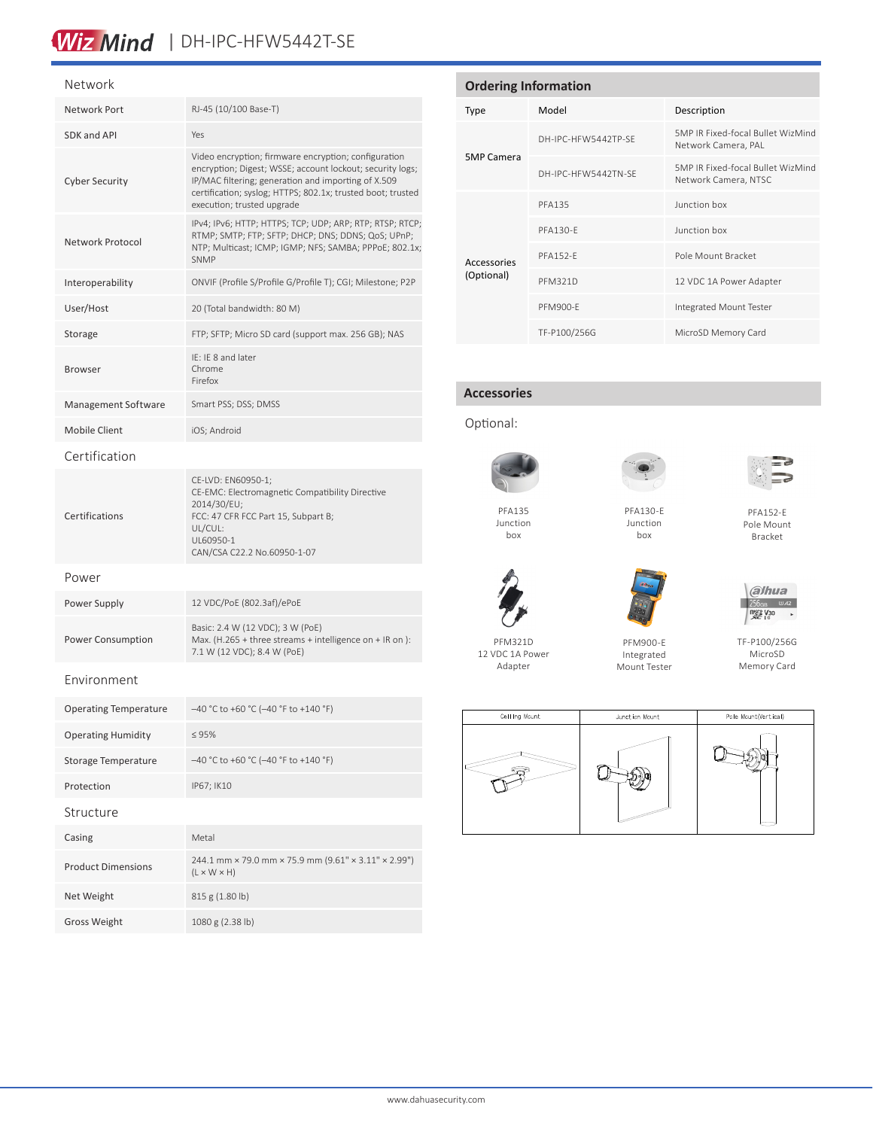### Wiz Mind | DH-IPC-HFW5442T-SE

#### Network

| Network Port                 | RJ-45 (10/100 Base-T)                                                                                                                                                                                                                                                 |  |  |  |
|------------------------------|-----------------------------------------------------------------------------------------------------------------------------------------------------------------------------------------------------------------------------------------------------------------------|--|--|--|
| SDK and API                  | Yes                                                                                                                                                                                                                                                                   |  |  |  |
| <b>Cyber Security</b>        | Video encryption; firmware encryption; configuration<br>encryption; Digest; WSSE; account lockout; security logs;<br>IP/MAC filtering; generation and importing of X.509<br>certification; syslog; HTTPS; 802.1x; trusted boot; trusted<br>execution; trusted upgrade |  |  |  |
| Network Protocol             | IPv4; IPv6; HTTP; HTTPS; TCP; UDP; ARP; RTP; RTSP; RTCP;<br>RTMP; SMTP; FTP; SFTP; DHCP; DNS; DDNS; QoS; UPnP;<br>NTP; Multicast; ICMP; IGMP; NFS; SAMBA; PPPoE; 802.1x;<br><b>SNMP</b>                                                                               |  |  |  |
| Interoperability             | ONVIF (Profile S/Profile G/Profile T); CGI; Milestone; P2P                                                                                                                                                                                                            |  |  |  |
| User/Host                    | 20 (Total bandwidth: 80 M)                                                                                                                                                                                                                                            |  |  |  |
| Storage                      | FTP; SFTP; Micro SD card (support max. 256 GB); NAS                                                                                                                                                                                                                   |  |  |  |
| <b>Browser</b>               | IE: IE 8 and later<br>Chrome<br>Firefox                                                                                                                                                                                                                               |  |  |  |
| Management Software          | Smart PSS; DSS; DMSS                                                                                                                                                                                                                                                  |  |  |  |
| <b>Mobile Client</b>         | iOS; Android                                                                                                                                                                                                                                                          |  |  |  |
| Certification                |                                                                                                                                                                                                                                                                       |  |  |  |
| Certifications               | CE-LVD: EN60950-1;<br>CE-EMC: Electromagnetic Compatibility Directive<br>2014/30/EU;<br>FCC: 47 CFR FCC Part 15, Subpart B;<br>UL/CUL:<br>UL60950-1<br>CAN/CSA C22.2 No.60950-1-07                                                                                    |  |  |  |
| Power                        |                                                                                                                                                                                                                                                                       |  |  |  |
| Power Supply                 | 12 VDC/PoE (802.3af)/ePoE                                                                                                                                                                                                                                             |  |  |  |
| Power Consumption            | Basic: 2.4 W (12 VDC); 3 W (PoE)<br>Max. (H.265 + three streams + intelligence on + IR on):<br>7.1 W (12 VDC); 8.4 W (PoE)                                                                                                                                            |  |  |  |
| Environment                  |                                                                                                                                                                                                                                                                       |  |  |  |
| <b>Operating Temperature</b> | $-40$ °C to +60 °C (-40 °F to +140 °F)                                                                                                                                                                                                                                |  |  |  |
| <b>Operating Humidity</b>    | ≤ 95%                                                                                                                                                                                                                                                                 |  |  |  |
| Storage Temperature          | -40 °C to +60 °C (-40 °F to +140 °F)                                                                                                                                                                                                                                  |  |  |  |
| Protection                   | IP67; IK10                                                                                                                                                                                                                                                            |  |  |  |
| Structure                    |                                                                                                                                                                                                                                                                       |  |  |  |
| Casing                       | Metal                                                                                                                                                                                                                                                                 |  |  |  |
| <b>Product Dimensions</b>    | 244.1 mm × 79.0 mm × 75.9 mm (9.61" × 3.11" × 2.99")<br>$(L \times W \times H)$                                                                                                                                                                                       |  |  |  |
| Net Weight                   | 815 g (1.80 lb)                                                                                                                                                                                                                                                       |  |  |  |

Gross Weight 1080 g (2.38 lb)

| <b>Ordering Information</b> |                     |                                                           |  |  |
|-----------------------------|---------------------|-----------------------------------------------------------|--|--|
| Type                        | Model               | Description                                               |  |  |
| <b>5MP Camera</b>           | DH-IPC-HFW5442TP-SF | 5MP IR Fixed-focal Bullet WizMind<br>Network Camera, PAL  |  |  |
|                             | DH-IPC-HFW5442TN-SF | 5MP IR Fixed-focal Bullet WizMind<br>Network Camera, NTSC |  |  |
| Accessories<br>(Optional)   | <b>PFA135</b>       | lunction hox                                              |  |  |
|                             | PFA130-F            | lunction hox                                              |  |  |
|                             | <b>PFA152-F</b>     | Pole Mount Bracket                                        |  |  |
|                             | <b>PFM321D</b>      | 12 VDC 1A Power Adapter                                   |  |  |
|                             | <b>PFM900-F</b>     | Integrated Mount Tester                                   |  |  |
|                             | TF-P100/256G        | MicroSD Memory Card                                       |  |  |

#### **Accessories**





Junction box



PFA130-E Junction box



PFA152-E Pole Mount Bracket



PFM321D 12 VDC 1A Power Adapter



Integrated Mount Tester

TF-P100/256G MicroSD Memory Card

a/hua  $256<sub>GB</sub>$  U/42  $\begin{array}{|c|c|c|}\n\hline\n\text{mgg} & \text{V30} & \rightarrow \\
\hline\n\text{Mg} & \text{V30} & \rightarrow \\
\hline\n\text{Mg} & \text{V30} & \rightarrow\n\end{array}$